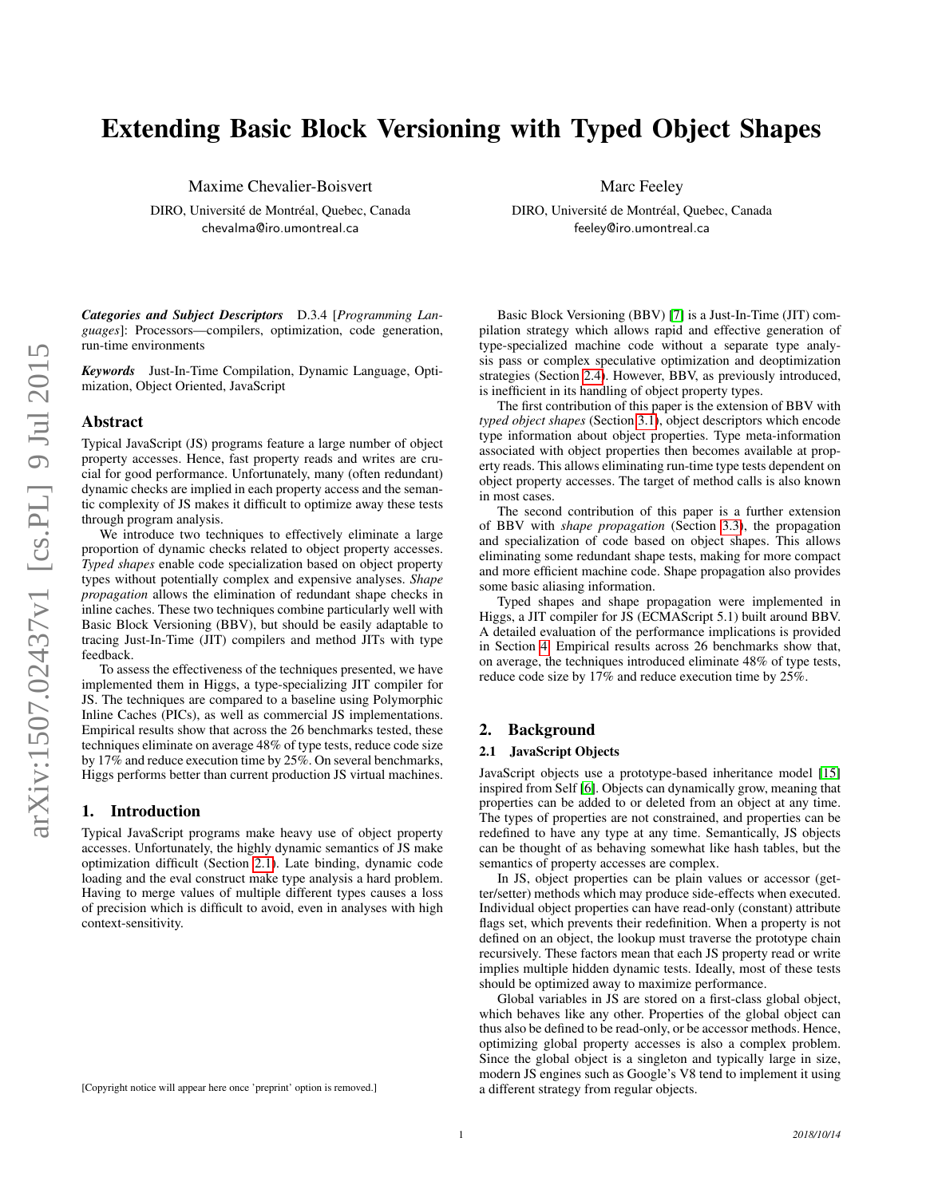# Extending Basic Block Versioning with Typed Object Shapes

Maxime Chevalier-Boisvert

DIRO, Université de Montréal, Quebec, Canada chevalma@iro.umontreal.ca

Marc Feeley

DIRO, Université de Montréal, Quebec, Canada feeley@iro.umontreal.ca

*Categories and Subject Descriptors* D.3.4 [*Programming Languages*]: Processors—compilers, optimization, code generation, run-time environments

*Keywords* Just-In-Time Compilation, Dynamic Language, Optimization, Object Oriented, JavaScript

# Abstract

Typical JavaScript (JS) programs feature a large number of object property accesses. Hence, fast property reads and writes are crucial for good performance. Unfortunately, many (often redundant) dynamic checks are implied in each property access and the semantic complexity of JS makes it difficult to optimize away these tests through program analysis.

We introduce two techniques to effectively eliminate a large proportion of dynamic checks related to object property accesses. *Typed shapes* enable code specialization based on object property types without potentially complex and expensive analyses. *Shape propagation* allows the elimination of redundant shape checks in inline caches. These two techniques combine particularly well with Basic Block Versioning (BBV), but should be easily adaptable to tracing Just-In-Time (JIT) compilers and method JITs with type feedback.

To assess the effectiveness of the techniques presented, we have implemented them in Higgs, a type-specializing JIT compiler for JS. The techniques are compared to a baseline using Polymorphic Inline Caches (PICs), as well as commercial JS implementations. Empirical results show that across the 26 benchmarks tested, these techniques eliminate on average 48% of type tests, reduce code size by 17% and reduce execution time by 25%. On several benchmarks, Higgs performs better than current production JS virtual machines.

# 1. Introduction

Typical JavaScript programs make heavy use of object property accesses. Unfortunately, the highly dynamic semantics of JS make optimization difficult (Section [2.1\)](#page-0-0). Late binding, dynamic code loading and the eval construct make type analysis a hard problem. Having to merge values of multiple different types causes a loss of precision which is difficult to avoid, even in analyses with high context-sensitivity.

Basic Block Versioning (BBV) [\[7\]](#page-11-0) is a Just-In-Time (JIT) compilation strategy which allows rapid and effective generation of type-specialized machine code without a separate type analysis pass or complex speculative optimization and deoptimization strategies (Section [2.4\)](#page-1-0). However, BBV, as previously introduced, is inefficient in its handling of object property types.

The first contribution of this paper is the extension of BBV with *typed object shapes* (Section [3.1\)](#page-2-0), object descriptors which encode type information about object properties. Type meta-information associated with object properties then becomes available at property reads. This allows eliminating run-time type tests dependent on object property accesses. The target of method calls is also known in most cases.

The second contribution of this paper is a further extension of BBV with *shape propagation* (Section [3.3\)](#page-2-1), the propagation and specialization of code based on object shapes. This allows eliminating some redundant shape tests, making for more compact and more efficient machine code. Shape propagation also provides some basic aliasing information.

Typed shapes and shape propagation were implemented in Higgs, a JIT compiler for JS (ECMAScript 5.1) built around BBV. A detailed evaluation of the performance implications is provided in Section [4.](#page-3-0) Empirical results across 26 benchmarks show that, on average, the techniques introduced eliminate 48% of type tests, reduce code size by 17% and reduce execution time by 25%.

# 2. Background

#### <span id="page-0-0"></span>2.1 JavaScript Objects

JavaScript objects use a prototype-based inheritance model [\[15\]](#page-11-1) inspired from Self [\[6\]](#page-11-2). Objects can dynamically grow, meaning that properties can be added to or deleted from an object at any time. The types of properties are not constrained, and properties can be redefined to have any type at any time. Semantically, JS objects can be thought of as behaving somewhat like hash tables, but the semantics of property accesses are complex.

In JS, object properties can be plain values or accessor (getter/setter) methods which may produce side-effects when executed. Individual object properties can have read-only (constant) attribute flags set, which prevents their redefinition. When a property is not defined on an object, the lookup must traverse the prototype chain recursively. These factors mean that each JS property read or write implies multiple hidden dynamic tests. Ideally, most of these tests should be optimized away to maximize performance.

Global variables in JS are stored on a first-class global object, which behaves like any other. Properties of the global object can thus also be defined to be read-only, or be accessor methods. Hence, optimizing global property accesses is also a complex problem. Since the global object is a singleton and typically large in size, modern JS engines such as Google's V8 tend to implement it using a different strategy from regular objects.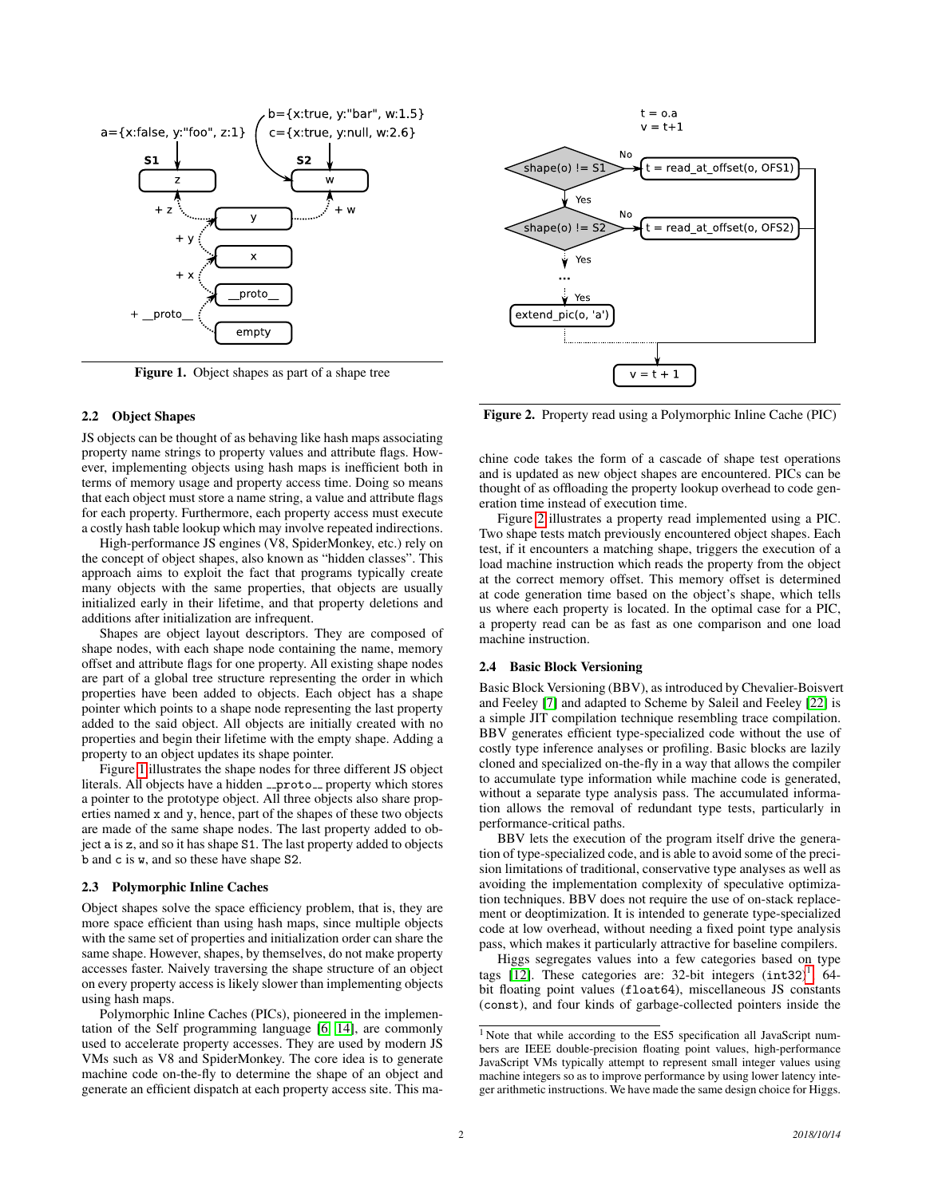

<span id="page-1-1"></span>Figure 1. Object shapes as part of a shape tree

#### 2.2 Object Shapes

JS objects can be thought of as behaving like hash maps associating property name strings to property values and attribute flags. However, implementing objects using hash maps is inefficient both in terms of memory usage and property access time. Doing so means that each object must store a name string, a value and attribute flags for each property. Furthermore, each property access must execute a costly hash table lookup which may involve repeated indirections.

High-performance JS engines (V8, SpiderMonkey, etc.) rely on the concept of object shapes, also known as "hidden classes". This approach aims to exploit the fact that programs typically create many objects with the same properties, that objects are usually initialized early in their lifetime, and that property deletions and additions after initialization are infrequent.

Shapes are object layout descriptors. They are composed of shape nodes, with each shape node containing the name, memory offset and attribute flags for one property. All existing shape nodes are part of a global tree structure representing the order in which properties have been added to objects. Each object has a shape pointer which points to a shape node representing the last property added to the said object. All objects are initially created with no properties and begin their lifetime with the empty shape. Adding a property to an object updates its shape pointer.

Figure [1](#page-1-1) illustrates the shape nodes for three different JS object literals. All objects have a hidden <sub>--</sub>proto<sub>--</sub> property which stores a pointer to the prototype object. All three objects also share properties named x and y, hence, part of the shapes of these two objects are made of the same shape nodes. The last property added to object a is z, and so it has shape S1. The last property added to objects b and c is w, and so these have shape S2.

#### <span id="page-1-4"></span>2.3 Polymorphic Inline Caches

Object shapes solve the space efficiency problem, that is, they are more space efficient than using hash maps, since multiple objects with the same set of properties and initialization order can share the same shape. However, shapes, by themselves, do not make property accesses faster. Naively traversing the shape structure of an object on every property access is likely slower than implementing objects using hash maps.

Polymorphic Inline Caches (PICs), pioneered in the implementation of the Self programming language [\[6,](#page-11-2) [14\]](#page-11-3), are commonly used to accelerate property accesses. They are used by modern JS VMs such as V8 and SpiderMonkey. The core idea is to generate machine code on-the-fly to determine the shape of an object and generate an efficient dispatch at each property access site. This ma-



 $shape(o)$ != Yes Ý ... Yes extend pic(o,  $'a'$  $v = t +$  $\mathbf{1}$ 

<span id="page-1-2"></span>Figure 2. Property read using a Polymorphic Inline Cache (PIC)

chine code takes the form of a cascade of shape test operations and is updated as new object shapes are encountered. PICs can be thought of as offloading the property lookup overhead to code generation time instead of execution time.

Figure [2](#page-1-2) illustrates a property read implemented using a PIC. Two shape tests match previously encountered object shapes. Each test, if it encounters a matching shape, triggers the execution of a load machine instruction which reads the property from the object at the correct memory offset. This memory offset is determined at code generation time based on the object's shape, which tells us where each property is located. In the optimal case for a PIC, a property read can be as fast as one comparison and one load machine instruction.

#### <span id="page-1-0"></span>2.4 Basic Block Versioning

Basic Block Versioning (BBV), as introduced by Chevalier-Boisvert and Feeley [\[7\]](#page-11-0) and adapted to Scheme by Saleil and Feeley [\[22\]](#page-11-4) is a simple JIT compilation technique resembling trace compilation. BBV generates efficient type-specialized code without the use of costly type inference analyses or profiling. Basic blocks are lazily cloned and specialized on-the-fly in a way that allows the compiler to accumulate type information while machine code is generated, without a separate type analysis pass. The accumulated information allows the removal of redundant type tests, particularly in performance-critical paths.

BBV lets the execution of the program itself drive the generation of type-specialized code, and is able to avoid some of the precision limitations of traditional, conservative type analyses as well as avoiding the implementation complexity of speculative optimization techniques. BBV does not require the use of on-stack replacement or deoptimization. It is intended to generate type-specialized code at low overhead, without needing a fixed point type analysis pass, which makes it particularly attractive for baseline compilers.

Higgs segregates values into a few categories based on type tags [\[12\]](#page-11-5). These categories are: 32-bit integers  $(int32)^1$  $(int32)^1$ , 64bit floating point values (float64), miscellaneous JS constants (const), and four kinds of garbage-collected pointers inside the

<span id="page-1-3"></span><sup>&</sup>lt;sup>1</sup> Note that while according to the ES5 specification all JavaScript numbers are IEEE double-precision floating point values, high-performance JavaScript VMs typically attempt to represent small integer values using machine integers so as to improve performance by using lower latency integer arithmetic instructions. We have made the same design choice for Higgs.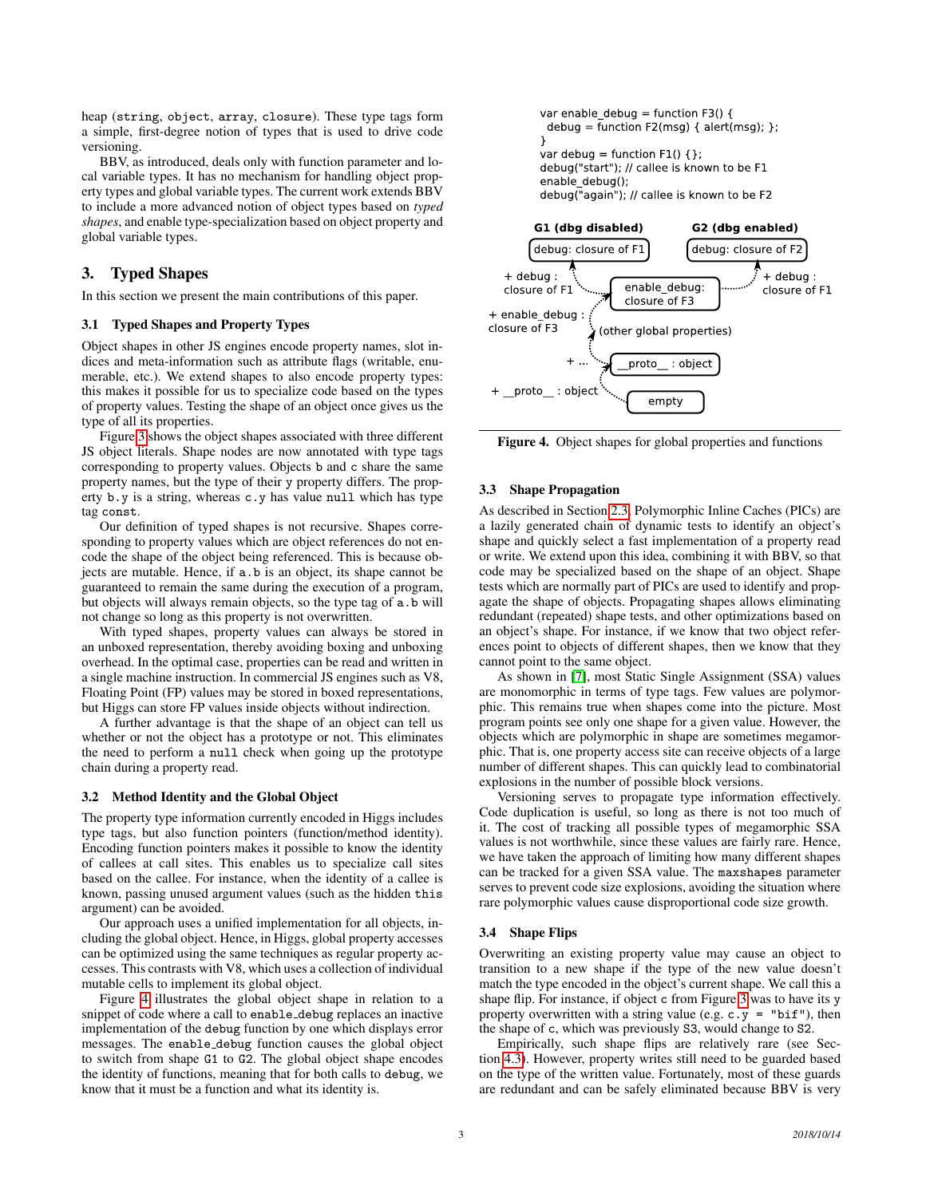heap (string, object, array, closure). These type tags form a simple, first-degree notion of types that is used to drive code versioning.

BBV, as introduced, deals only with function parameter and local variable types. It has no mechanism for handling object property types and global variable types. The current work extends BBV to include a more advanced notion of object types based on *typed shapes*, and enable type-specialization based on object property and global variable types.

# 3. Typed Shapes

In this section we present the main contributions of this paper.

#### <span id="page-2-0"></span>3.1 Typed Shapes and Property Types

Object shapes in other JS engines encode property names, slot indices and meta-information such as attribute flags (writable, enumerable, etc.). We extend shapes to also encode property types: this makes it possible for us to specialize code based on the types of property values. Testing the shape of an object once gives us the type of all its properties.

Figure [3](#page-3-1) shows the object shapes associated with three different JS object literals. Shape nodes are now annotated with type tags corresponding to property values. Objects b and c share the same property names, but the type of their y property differs. The property b.y is a string, whereas c.y has value null which has type tag const.

Our definition of typed shapes is not recursive. Shapes corresponding to property values which are object references do not encode the shape of the object being referenced. This is because objects are mutable. Hence, if a.b is an object, its shape cannot be guaranteed to remain the same during the execution of a program, but objects will always remain objects, so the type tag of a.b will not change so long as this property is not overwritten.

With typed shapes, property values can always be stored in an unboxed representation, thereby avoiding boxing and unboxing overhead. In the optimal case, properties can be read and written in a single machine instruction. In commercial JS engines such as V8, Floating Point (FP) values may be stored in boxed representations, but Higgs can store FP values inside objects without indirection.

A further advantage is that the shape of an object can tell us whether or not the object has a prototype or not. This eliminates the need to perform a null check when going up the prototype chain during a property read.

#### 3.2 Method Identity and the Global Object

The property type information currently encoded in Higgs includes type tags, but also function pointers (function/method identity). Encoding function pointers makes it possible to know the identity of callees at call sites. This enables us to specialize call sites based on the callee. For instance, when the identity of a callee is known, passing unused argument values (such as the hidden this argument) can be avoided.

Our approach uses a unified implementation for all objects, including the global object. Hence, in Higgs, global property accesses can be optimized using the same techniques as regular property accesses. This contrasts with V8, which uses a collection of individual mutable cells to implement its global object.

Figure [4](#page-2-2) illustrates the global object shape in relation to a snippet of code where a call to enable debug replaces an inactive implementation of the debug function by one which displays error messages. The enable debug function causes the global object to switch from shape G1 to G2. The global object shape encodes the identity of functions, meaning that for both calls to debug, we know that it must be a function and what its identity is.





<span id="page-2-2"></span>Figure 4. Object shapes for global properties and functions

#### <span id="page-2-1"></span>3.3 Shape Propagation

As described in Section [2.3,](#page-1-4) Polymorphic Inline Caches (PICs) are a lazily generated chain of dynamic tests to identify an object's shape and quickly select a fast implementation of a property read or write. We extend upon this idea, combining it with BBV, so that code may be specialized based on the shape of an object. Shape tests which are normally part of PICs are used to identify and propagate the shape of objects. Propagating shapes allows eliminating redundant (repeated) shape tests, and other optimizations based on an object's shape. For instance, if we know that two object references point to objects of different shapes, then we know that they cannot point to the same object.

As shown in [\[7\]](#page-11-0), most Static Single Assignment (SSA) values are monomorphic in terms of type tags. Few values are polymorphic. This remains true when shapes come into the picture. Most program points see only one shape for a given value. However, the objects which are polymorphic in shape are sometimes megamorphic. That is, one property access site can receive objects of a large number of different shapes. This can quickly lead to combinatorial explosions in the number of possible block versions.

Versioning serves to propagate type information effectively. Code duplication is useful, so long as there is not too much of it. The cost of tracking all possible types of megamorphic SSA values is not worthwhile, since these values are fairly rare. Hence, we have taken the approach of limiting how many different shapes can be tracked for a given SSA value. The maxshapes parameter serves to prevent code size explosions, avoiding the situation where rare polymorphic values cause disproportional code size growth.

#### 3.4 Shape Flips

Overwriting an existing property value may cause an object to transition to a new shape if the type of the new value doesn't match the type encoded in the object's current shape. We call this a shape flip. For instance, if object c from Figure [3](#page-3-1) was to have its y property overwritten with a string value (e.g.  $c \cdot y = "bif"), then$ the shape of c, which was previously S3, would change to S2.

Empirically, such shape flips are relatively rare (see Section [4.3\)](#page-4-0). However, property writes still need to be guarded based on the type of the written value. Fortunately, most of these guards are redundant and can be safely eliminated because BBV is very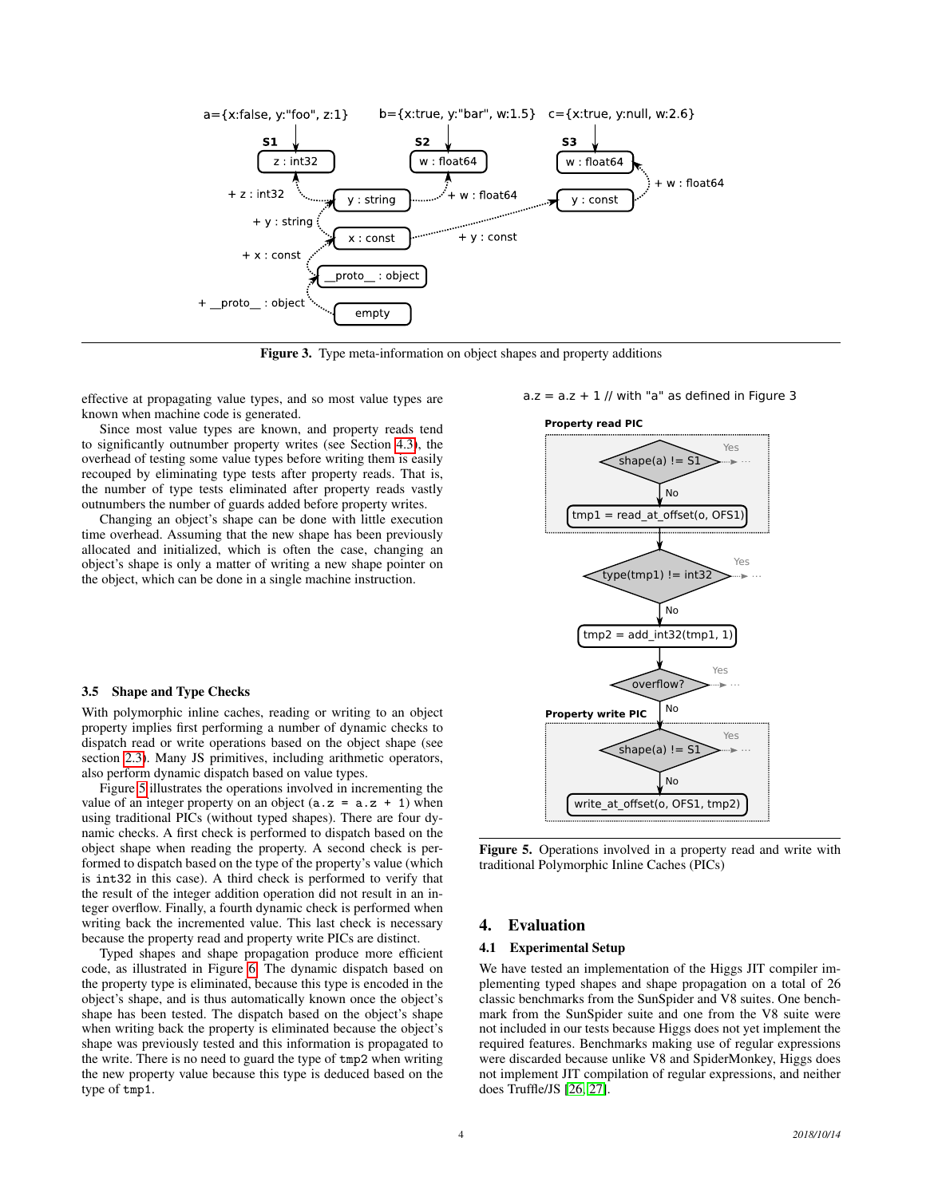

<span id="page-3-1"></span>Figure 3. Type meta-information on object shapes and property additions

effective at propagating value types, and so most value types are known when machine code is generated.

Since most value types are known, and property reads tend to significantly outnumber property writes (see Section [4.3\)](#page-4-0), the overhead of testing some value types before writing them is easily recouped by eliminating type tests after property reads. That is, the number of type tests eliminated after property reads vastly outnumbers the number of guards added before property writes.

Changing an object's shape can be done with little execution time overhead. Assuming that the new shape has been previously allocated and initialized, which is often the case, changing an object's shape is only a matter of writing a new shape pointer on the object, which can be done in a single machine instruction.

## 3.5 Shape and Type Checks

With polymorphic inline caches, reading or writing to an object property implies first performing a number of dynamic checks to dispatch read or write operations based on the object shape (see section [2.3\)](#page-1-4). Many JS primitives, including arithmetic operators, also perform dynamic dispatch based on value types.

Figure [5](#page-3-2) illustrates the operations involved in incrementing the value of an integer property on an object  $(a.z = a.z + 1)$  when using traditional PICs (without typed shapes). There are four dynamic checks. A first check is performed to dispatch based on the object shape when reading the property. A second check is performed to dispatch based on the type of the property's value (which is int32 in this case). A third check is performed to verify that the result of the integer addition operation did not result in an integer overflow. Finally, a fourth dynamic check is performed when writing back the incremented value. This last check is necessary because the property read and property write PICs are distinct.

Typed shapes and shape propagation produce more efficient code, as illustrated in Figure [6.](#page-4-1) The dynamic dispatch based on the property type is eliminated, because this type is encoded in the object's shape, and is thus automatically known once the object's shape has been tested. The dispatch based on the object's shape when writing back the property is eliminated because the object's shape was previously tested and this information is propagated to the write. There is no need to guard the type of tmp2 when writing the new property value because this type is deduced based on the type of tmp1.

#### $a.z = a.z + 1$  // with "a" as defined in Figure 3



<span id="page-3-2"></span>Figure 5. Operations involved in a property read and write with traditional Polymorphic Inline Caches (PICs)

## <span id="page-3-0"></span>4. Evaluation

#### 4.1 Experimental Setup

We have tested an implementation of the Higgs JIT compiler implementing typed shapes and shape propagation on a total of 26 classic benchmarks from the SunSpider and V8 suites. One benchmark from the SunSpider suite and one from the V8 suite were not included in our tests because Higgs does not yet implement the required features. Benchmarks making use of regular expressions were discarded because unlike V8 and SpiderMonkey, Higgs does not implement JIT compilation of regular expressions, and neither does Truffle/JS [\[26,](#page-11-6) [27\]](#page-11-7).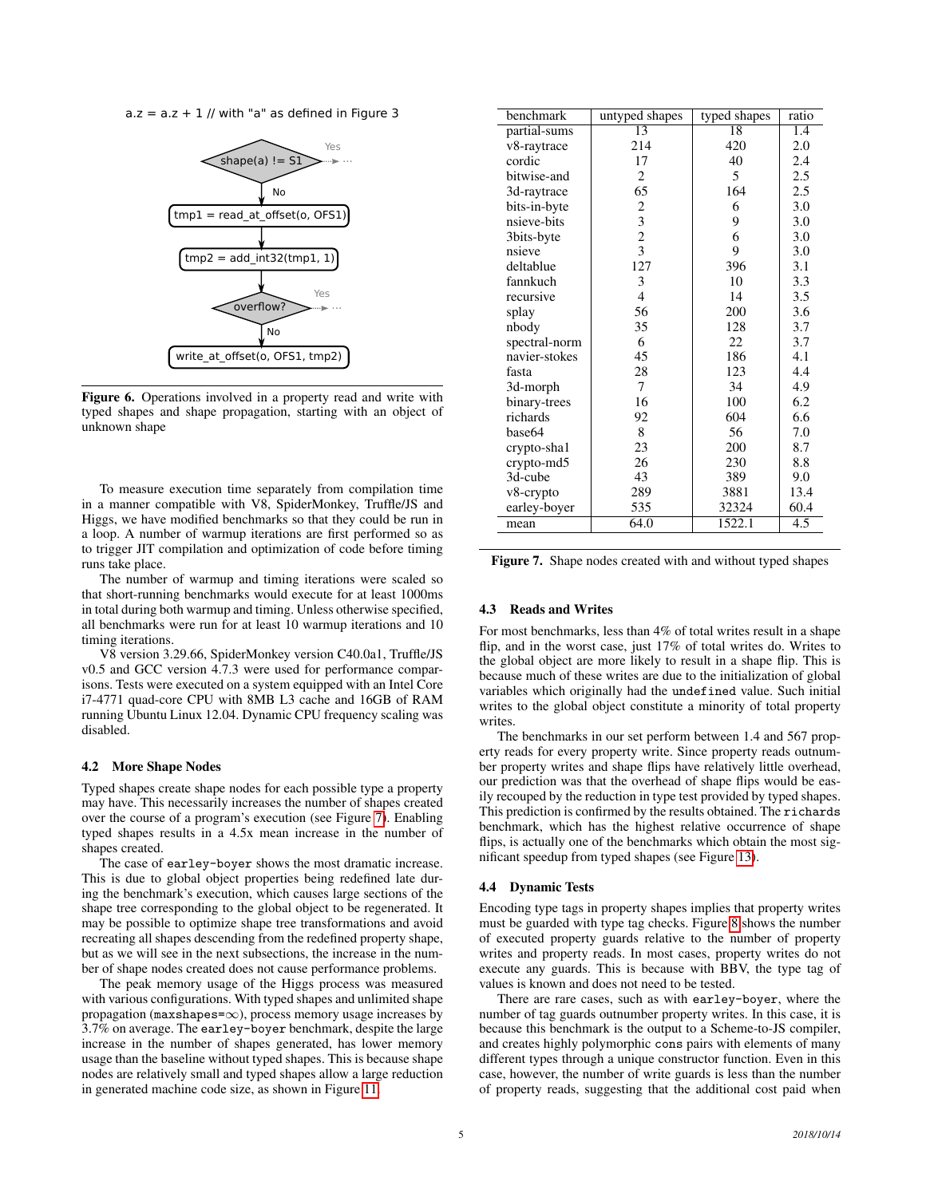$a.z = a.z + 1$  // with "a" as defined in Figure 3



<span id="page-4-1"></span>Figure 6. Operations involved in a property read and write with typed shapes and shape propagation, starting with an object of unknown shape

To measure execution time separately from compilation time in a manner compatible with V8, SpiderMonkey, Truffle/JS and Higgs, we have modified benchmarks so that they could be run in a loop. A number of warmup iterations are first performed so as to trigger JIT compilation and optimization of code before timing runs take place.

The number of warmup and timing iterations were scaled so that short-running benchmarks would execute for at least 1000ms in total during both warmup and timing. Unless otherwise specified, all benchmarks were run for at least 10 warmup iterations and 10 timing iterations.

V8 version 3.29.66, SpiderMonkey version C40.0a1, Truffle/JS v0.5 and GCC version 4.7.3 were used for performance comparisons. Tests were executed on a system equipped with an Intel Core i7-4771 quad-core CPU with 8MB L3 cache and 16GB of RAM running Ubuntu Linux 12.04. Dynamic CPU frequency scaling was disabled.

#### 4.2 More Shape Nodes

Typed shapes create shape nodes for each possible type a property may have. This necessarily increases the number of shapes created over the course of a program's execution (see Figure [7\)](#page-4-2). Enabling typed shapes results in a 4.5x mean increase in the number of shapes created.

The case of earley-boyer shows the most dramatic increase. This is due to global object properties being redefined late during the benchmark's execution, which causes large sections of the shape tree corresponding to the global object to be regenerated. It may be possible to optimize shape tree transformations and avoid recreating all shapes descending from the redefined property shape, but as we will see in the next subsections, the increase in the number of shape nodes created does not cause performance problems.

The peak memory usage of the Higgs process was measured with various configurations. With typed shapes and unlimited shape propagation ( $max shapes = \infty$ ), process memory usage increases by 3.7% on average. The earley-boyer benchmark, despite the large increase in the number of shapes generated, has lower memory usage than the baseline without typed shapes. This is because shape nodes are relatively small and typed shapes allow a large reduction in generated machine code size, as shown in Figure [11.](#page-7-0)

| benchmark     | untyped shapes | typed shapes    | ratio            |
|---------------|----------------|-----------------|------------------|
| partial-sums  | 13             | $\overline{18}$ | 1.4              |
| v8-raytrace   | 214            | 420             | 2.0              |
| cordic        | 17             | 40              | 2.4              |
| bitwise-and   | 2              | 5               | 2.5              |
| 3d-raytrace   | 65             | 164             | 2.5              |
| bits-in-byte  | 2              | 6               | 3.0              |
| nsieve-bits   | 3              | 9               | 3.0              |
| 3bits-byte    | $\overline{c}$ | 6               | 3.0              |
| nsieve        | 3              | 9               | 3.0              |
| deltablue     | 127            | 396             | 3.1              |
| fannkuch      | 3              | 10              | 3.3              |
| recursive     | $\overline{4}$ | 14              | 3.5              |
| splay         | 56             | 200             | 3.6              |
| nbody         | 35             | 128             | 3.7              |
| spectral-norm | 6              | 22              | 3.7              |
| navier-stokes | 45             | 186             | 4.1              |
| fasta         | 28             | 123             | 4.4              |
| 3d-morph      | 7              | 34              | 4.9              |
| binary-trees  | 16             | 100             | 6.2              |
| richards      | 92             | 604             | 6.6              |
| base64        | 8              | 56              | 7.0              |
| crypto-shal   | 23             | 200             | 8.7              |
| crypto-md5    | 26             | 230             | 8.8              |
| 3d-cube       | 43             | 389             | 9.0              |
| v8-crypto     | 289            | 3881            | 13.4             |
| earley-boyer  | 535            | 32324           | 60.4             |
| mean          | 64.0           | 1522.1          | $\overline{4.5}$ |

<span id="page-4-2"></span>Figure 7. Shape nodes created with and without typed shapes

#### <span id="page-4-0"></span>4.3 Reads and Writes

For most benchmarks, less than 4% of total writes result in a shape flip, and in the worst case, just 17% of total writes do. Writes to the global object are more likely to result in a shape flip. This is because much of these writes are due to the initialization of global variables which originally had the undefined value. Such initial writes to the global object constitute a minority of total property writes.

The benchmarks in our set perform between 1.4 and 567 property reads for every property write. Since property reads outnumber property writes and shape flips have relatively little overhead, our prediction was that the overhead of shape flips would be easily recouped by the reduction in type test provided by typed shapes. This prediction is confirmed by the results obtained. The richards benchmark, which has the highest relative occurrence of shape flips, is actually one of the benchmarks which obtain the most significant speedup from typed shapes (see Figure [13\)](#page-8-0).

## 4.4 Dynamic Tests

Encoding type tags in property shapes implies that property writes must be guarded with type tag checks. Figure [8](#page-5-0) shows the number of executed property guards relative to the number of property writes and property reads. In most cases, property writes do not execute any guards. This is because with BBV, the type tag of values is known and does not need to be tested.

There are rare cases, such as with earley-boyer, where the number of tag guards outnumber property writes. In this case, it is because this benchmark is the output to a Scheme-to-JS compiler, and creates highly polymorphic cons pairs with elements of many different types through a unique constructor function. Even in this case, however, the number of write guards is less than the number of property reads, suggesting that the additional cost paid when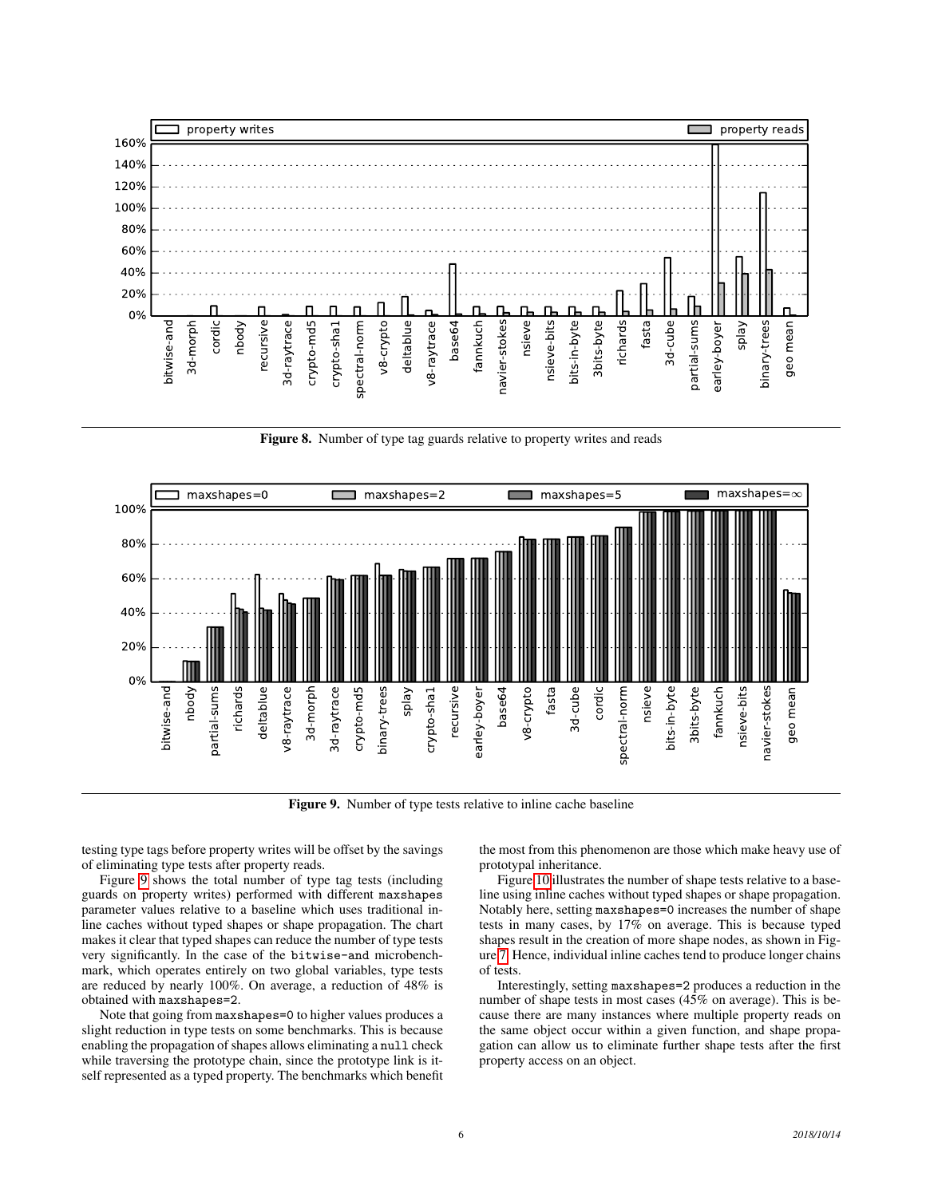

<span id="page-5-0"></span>Figure 8. Number of type tag guards relative to property writes and reads



<span id="page-5-1"></span>Figure 9. Number of type tests relative to inline cache baseline

testing type tags before property writes will be offset by the savings of eliminating type tests after property reads.

Figure [9](#page-5-1) shows the total number of type tag tests (including guards on property writes) performed with different maxshapes parameter values relative to a baseline which uses traditional inline caches without typed shapes or shape propagation. The chart makes it clear that typed shapes can reduce the number of type tests very significantly. In the case of the bitwise-and microbenchmark, which operates entirely on two global variables, type tests are reduced by nearly 100%. On average, a reduction of 48% is obtained with maxshapes=2.

Note that going from maxshapes=0 to higher values produces a slight reduction in type tests on some benchmarks. This is because enabling the propagation of shapes allows eliminating a null check while traversing the prototype chain, since the prototype link is itself represented as a typed property. The benchmarks which benefit the most from this phenomenon are those which make heavy use of prototypal inheritance.

Figure [10](#page-6-0) illustrates the number of shape tests relative to a baseline using inline caches without typed shapes or shape propagation. Notably here, setting maxshapes=0 increases the number of shape tests in many cases, by 17% on average. This is because typed shapes result in the creation of more shape nodes, as shown in Figure [7.](#page-4-2) Hence, individual inline caches tend to produce longer chains of tests.

Interestingly, setting maxshapes=2 produces a reduction in the number of shape tests in most cases (45% on average). This is because there are many instances where multiple property reads on the same object occur within a given function, and shape propagation can allow us to eliminate further shape tests after the first property access on an object.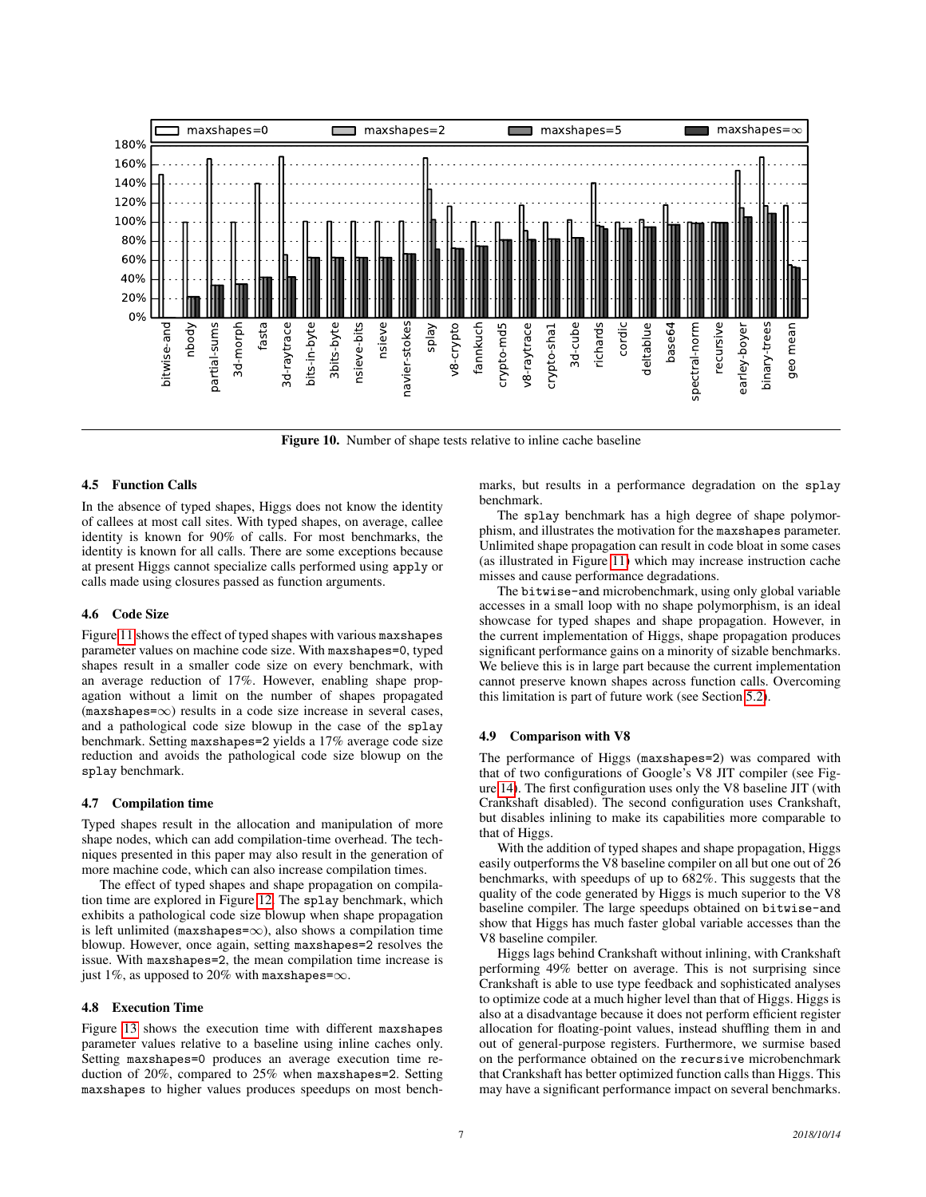

<span id="page-6-0"></span>Figure 10. Number of shape tests relative to inline cache baseline

## 4.5 Function Calls

In the absence of typed shapes, Higgs does not know the identity of callees at most call sites. With typed shapes, on average, callee identity is known for 90% of calls. For most benchmarks, the identity is known for all calls. There are some exceptions because at present Higgs cannot specialize calls performed using apply or calls made using closures passed as function arguments.

#### 4.6 Code Size

Figure [11](#page-7-0) shows the effect of typed shapes with various maxshapes parameter values on machine code size. With maxshapes=0, typed shapes result in a smaller code size on every benchmark, with an average reduction of 17%. However, enabling shape propagation without a limit on the number of shapes propagated  $(max shapes=\infty)$  results in a code size increase in several cases, and a pathological code size blowup in the case of the splay benchmark. Setting maxshapes=2 yields a 17% average code size reduction and avoids the pathological code size blowup on the splay benchmark.

#### 4.7 Compilation time

Typed shapes result in the allocation and manipulation of more shape nodes, which can add compilation-time overhead. The techniques presented in this paper may also result in the generation of more machine code, which can also increase compilation times.

The effect of typed shapes and shape propagation on compilation time are explored in Figure [12.](#page-7-1) The splay benchmark, which exhibits a pathological code size blowup when shape propagation is left unlimited (maxshapes= $\infty$ ), also shows a compilation time blowup. However, once again, setting maxshapes=2 resolves the issue. With maxshapes=2, the mean compilation time increase is just 1%, as upposed to 20% with maxshapes= $\infty$ .

## 4.8 Execution Time

Figure [13](#page-8-0) shows the execution time with different maxshapes parameter values relative to a baseline using inline caches only. Setting maxshapes=0 produces an average execution time reduction of 20%, compared to 25% when maxshapes=2. Setting maxshapes to higher values produces speedups on most benchmarks, but results in a performance degradation on the splay benchmark.

The splay benchmark has a high degree of shape polymorphism, and illustrates the motivation for the maxshapes parameter. Unlimited shape propagation can result in code bloat in some cases (as illustrated in Figure [11\)](#page-7-0) which may increase instruction cache misses and cause performance degradations.

The bitwise-and microbenchmark, using only global variable accesses in a small loop with no shape polymorphism, is an ideal showcase for typed shapes and shape propagation. However, in the current implementation of Higgs, shape propagation produces significant performance gains on a minority of sizable benchmarks. We believe this is in large part because the current implementation cannot preserve known shapes across function calls. Overcoming this limitation is part of future work (see Section [5.2\)](#page-9-0).

#### 4.9 Comparison with V8

The performance of Higgs (maxshapes=2) was compared with that of two configurations of Google's V8 JIT compiler (see Figure [14\)](#page-8-1). The first configuration uses only the V8 baseline JIT (with Crankshaft disabled). The second configuration uses Crankshaft, but disables inlining to make its capabilities more comparable to that of Higgs.

With the addition of typed shapes and shape propagation, Higgs easily outperforms the V8 baseline compiler on all but one out of 26 benchmarks, with speedups of up to 682%. This suggests that the quality of the code generated by Higgs is much superior to the V8 baseline compiler. The large speedups obtained on bitwise-and show that Higgs has much faster global variable accesses than the V8 baseline compiler.

Higgs lags behind Crankshaft without inlining, with Crankshaft performing 49% better on average. This is not surprising since Crankshaft is able to use type feedback and sophisticated analyses to optimize code at a much higher level than that of Higgs. Higgs is also at a disadvantage because it does not perform efficient register allocation for floating-point values, instead shuffling them in and out of general-purpose registers. Furthermore, we surmise based on the performance obtained on the recursive microbenchmark that Crankshaft has better optimized function calls than Higgs. This may have a significant performance impact on several benchmarks.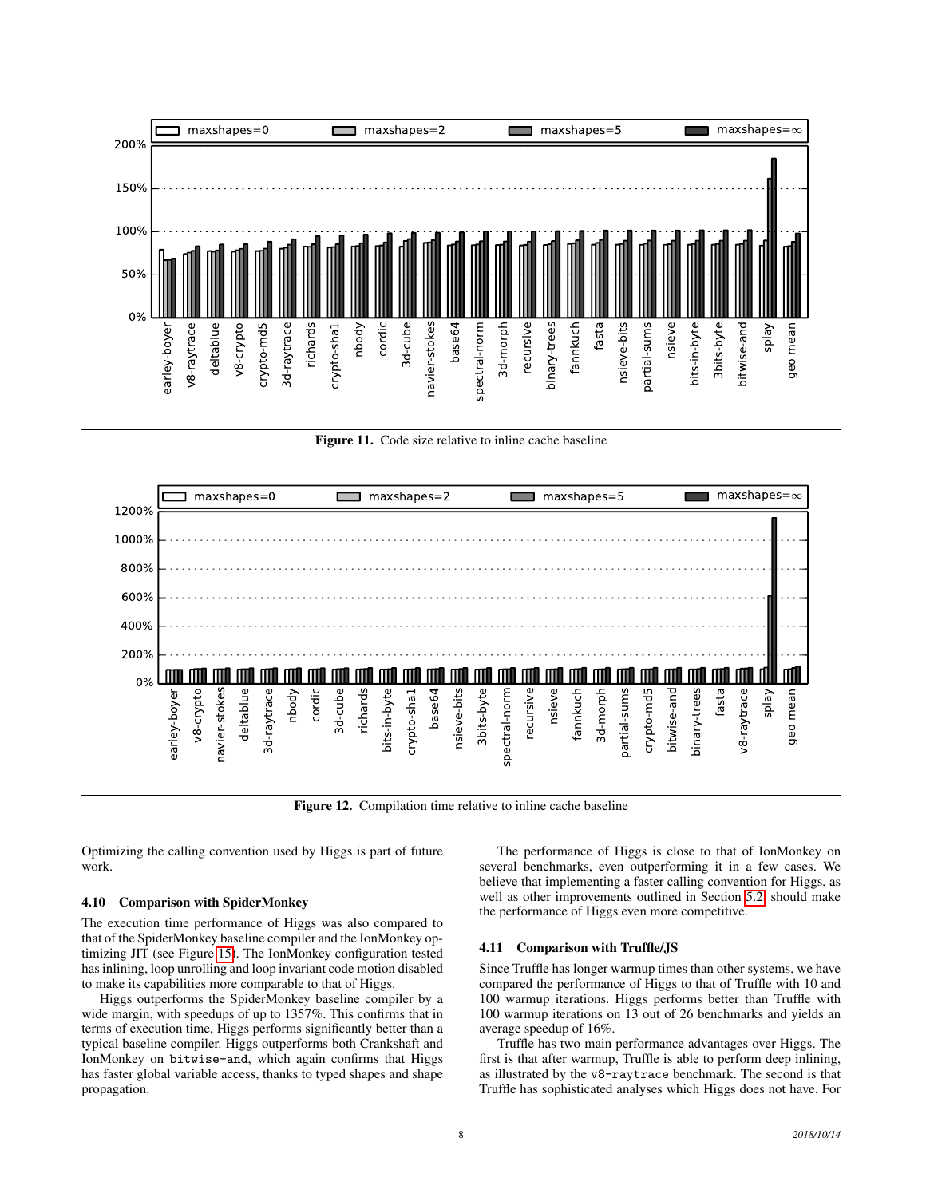

<span id="page-7-0"></span>Figure 11. Code size relative to inline cache baseline



<span id="page-7-1"></span>Figure 12. Compilation time relative to inline cache baseline

Optimizing the calling convention used by Higgs is part of future work.

#### 4.10 Comparison with SpiderMonkey

The execution time performance of Higgs was also compared to that of the SpiderMonkey baseline compiler and the IonMonkey optimizing JIT (see Figure [15\)](#page-9-1). The IonMonkey configuration tested has inlining, loop unrolling and loop invariant code motion disabled to make its capabilities more comparable to that of Higgs.

Higgs outperforms the SpiderMonkey baseline compiler by a wide margin, with speedups of up to 1357%. This confirms that in terms of execution time, Higgs performs significantly better than a typical baseline compiler. Higgs outperforms both Crankshaft and IonMonkey on bitwise-and, which again confirms that Higgs has faster global variable access, thanks to typed shapes and shape propagation.

The performance of Higgs is close to that of IonMonkey on several benchmarks, even outperforming it in a few cases. We believe that implementing a faster calling convention for Higgs, as well as other improvements outlined in Section [5.2,](#page-9-0) should make the performance of Higgs even more competitive.

#### 4.11 Comparison with Truffle/JS

Since Truffle has longer warmup times than other systems, we have compared the performance of Higgs to that of Truffle with 10 and 100 warmup iterations. Higgs performs better than Truffle with 100 warmup iterations on 13 out of 26 benchmarks and yields an average speedup of 16%.

Truffle has two main performance advantages over Higgs. The first is that after warmup, Truffle is able to perform deep inlining, as illustrated by the v8-raytrace benchmark. The second is that Truffle has sophisticated analyses which Higgs does not have. For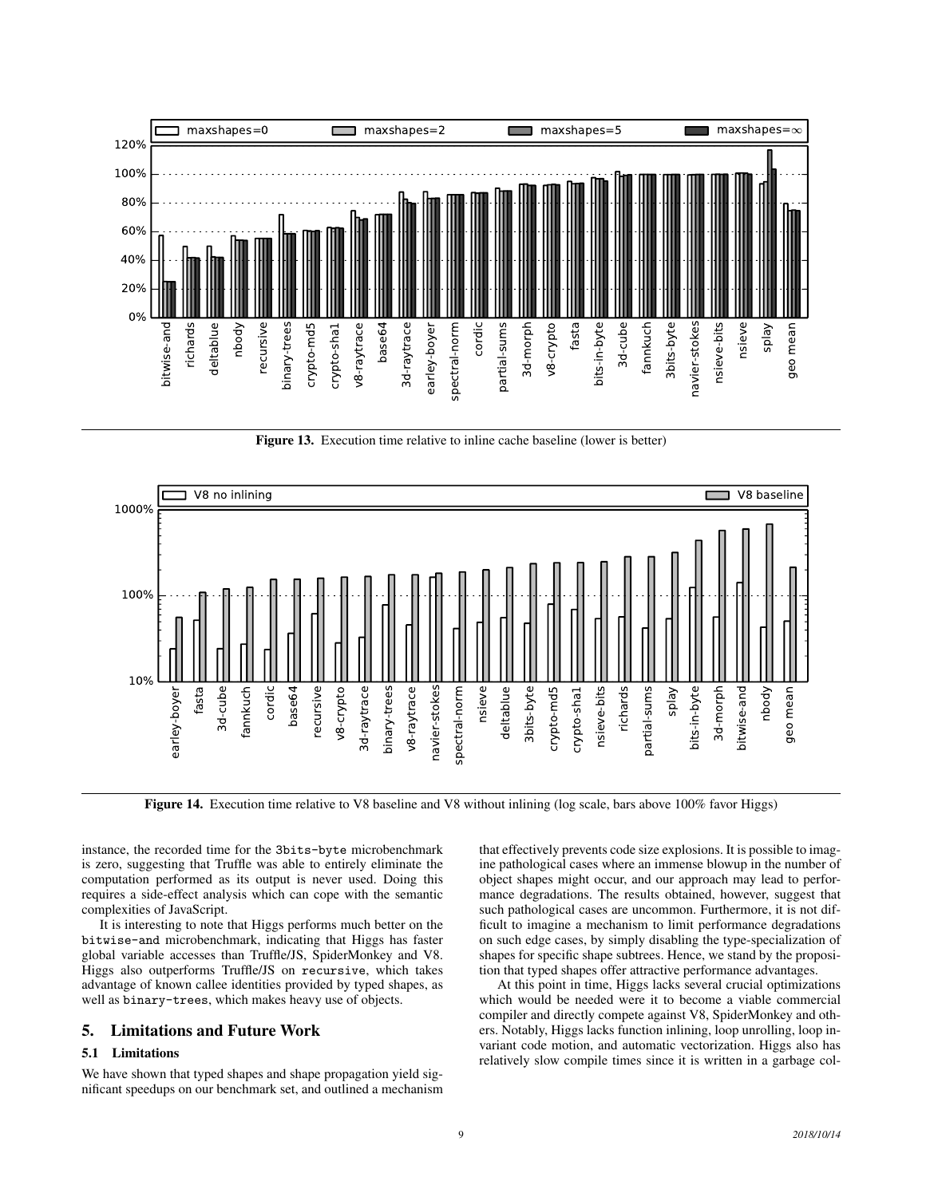

<span id="page-8-0"></span>Figure 13. Execution time relative to inline cache baseline (lower is better)



<span id="page-8-1"></span>Figure 14. Execution time relative to V8 baseline and V8 without inlining (log scale, bars above 100% favor Higgs)

instance, the recorded time for the 3bits-byte microbenchmark is zero, suggesting that Truffle was able to entirely eliminate the computation performed as its output is never used. Doing this requires a side-effect analysis which can cope with the semantic complexities of JavaScript.

It is interesting to note that Higgs performs much better on the bitwise-and microbenchmark, indicating that Higgs has faster global variable accesses than Truffle/JS, SpiderMonkey and V8. Higgs also outperforms Truffle/JS on recursive, which takes advantage of known callee identities provided by typed shapes, as well as binary-trees, which makes heavy use of objects.

# 5. Limitations and Future Work

#### 5.1 Limitations

We have shown that typed shapes and shape propagation yield significant speedups on our benchmark set, and outlined a mechanism

that effectively prevents code size explosions. It is possible to imagine pathological cases where an immense blowup in the number of object shapes might occur, and our approach may lead to performance degradations. The results obtained, however, suggest that such pathological cases are uncommon. Furthermore, it is not difficult to imagine a mechanism to limit performance degradations on such edge cases, by simply disabling the type-specialization of shapes for specific shape subtrees. Hence, we stand by the proposition that typed shapes offer attractive performance advantages.

At this point in time, Higgs lacks several crucial optimizations which would be needed were it to become a viable commercial compiler and directly compete against V8, SpiderMonkey and others. Notably, Higgs lacks function inlining, loop unrolling, loop invariant code motion, and automatic vectorization. Higgs also has relatively slow compile times since it is written in a garbage col-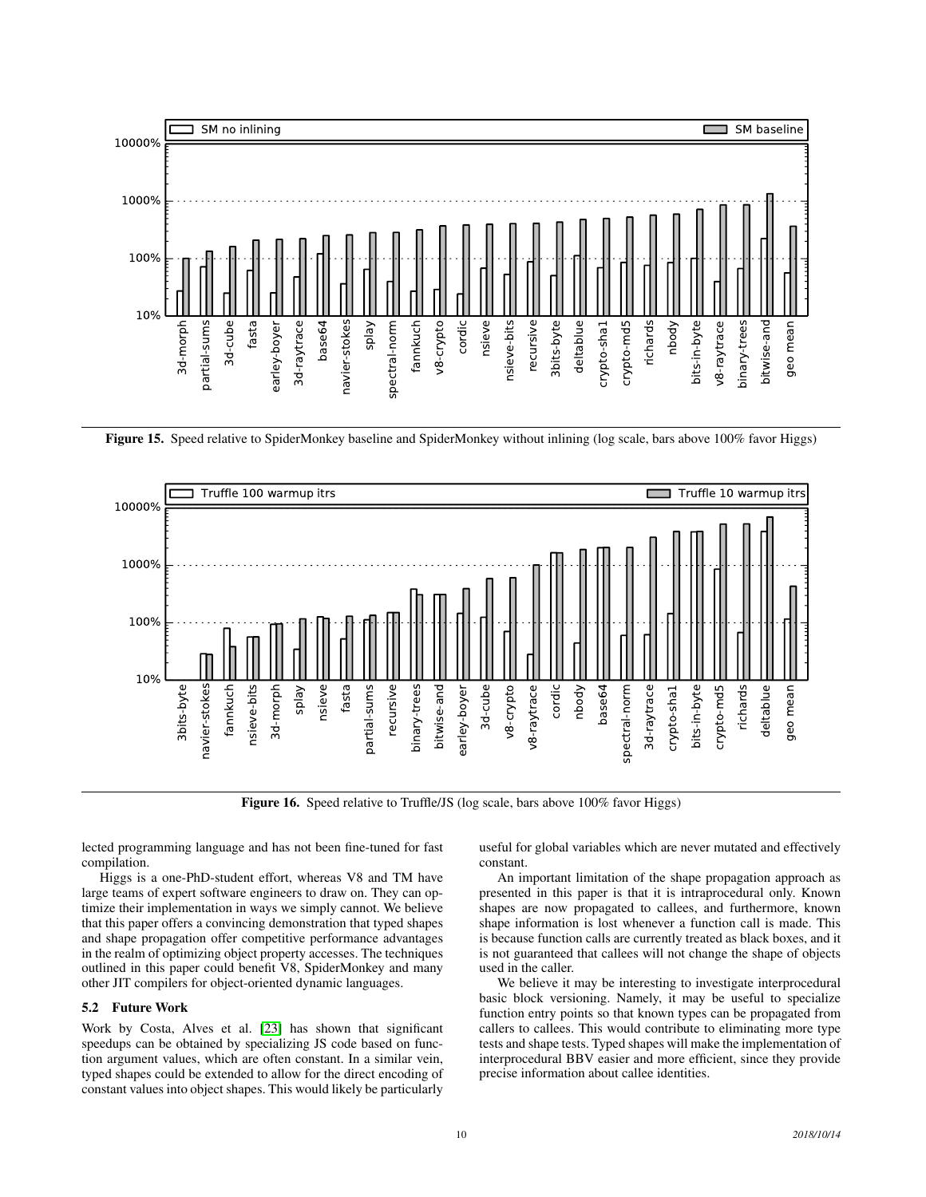

<span id="page-9-1"></span>Figure 15. Speed relative to SpiderMonkey baseline and SpiderMonkey without inlining (log scale, bars above 100% favor Higgs)



Figure 16. Speed relative to Truffle/JS (log scale, bars above 100% favor Higgs)

lected programming language and has not been fine-tuned for fast compilation.

Higgs is a one-PhD-student effort, whereas V8 and TM have large teams of expert software engineers to draw on. They can optimize their implementation in ways we simply cannot. We believe that this paper offers a convincing demonstration that typed shapes and shape propagation offer competitive performance advantages in the realm of optimizing object property accesses. The techniques outlined in this paper could benefit V8, SpiderMonkey and many other JIT compilers for object-oriented dynamic languages.

## <span id="page-9-0"></span>5.2 Future Work

Work by Costa, Alves et al. [\[23\]](#page-11-8) has shown that significant speedups can be obtained by specializing JS code based on function argument values, which are often constant. In a similar vein, typed shapes could be extended to allow for the direct encoding of constant values into object shapes. This would likely be particularly

useful for global variables which are never mutated and effectively constant.

An important limitation of the shape propagation approach as presented in this paper is that it is intraprocedural only. Known shapes are now propagated to callees, and furthermore, known shape information is lost whenever a function call is made. This is because function calls are currently treated as black boxes, and it is not guaranteed that callees will not change the shape of objects used in the caller.

We believe it may be interesting to investigate interprocedural basic block versioning. Namely, it may be useful to specialize function entry points so that known types can be propagated from callers to callees. This would contribute to eliminating more type tests and shape tests. Typed shapes will make the implementation of interprocedural BBV easier and more efficient, since they provide precise information about callee identities.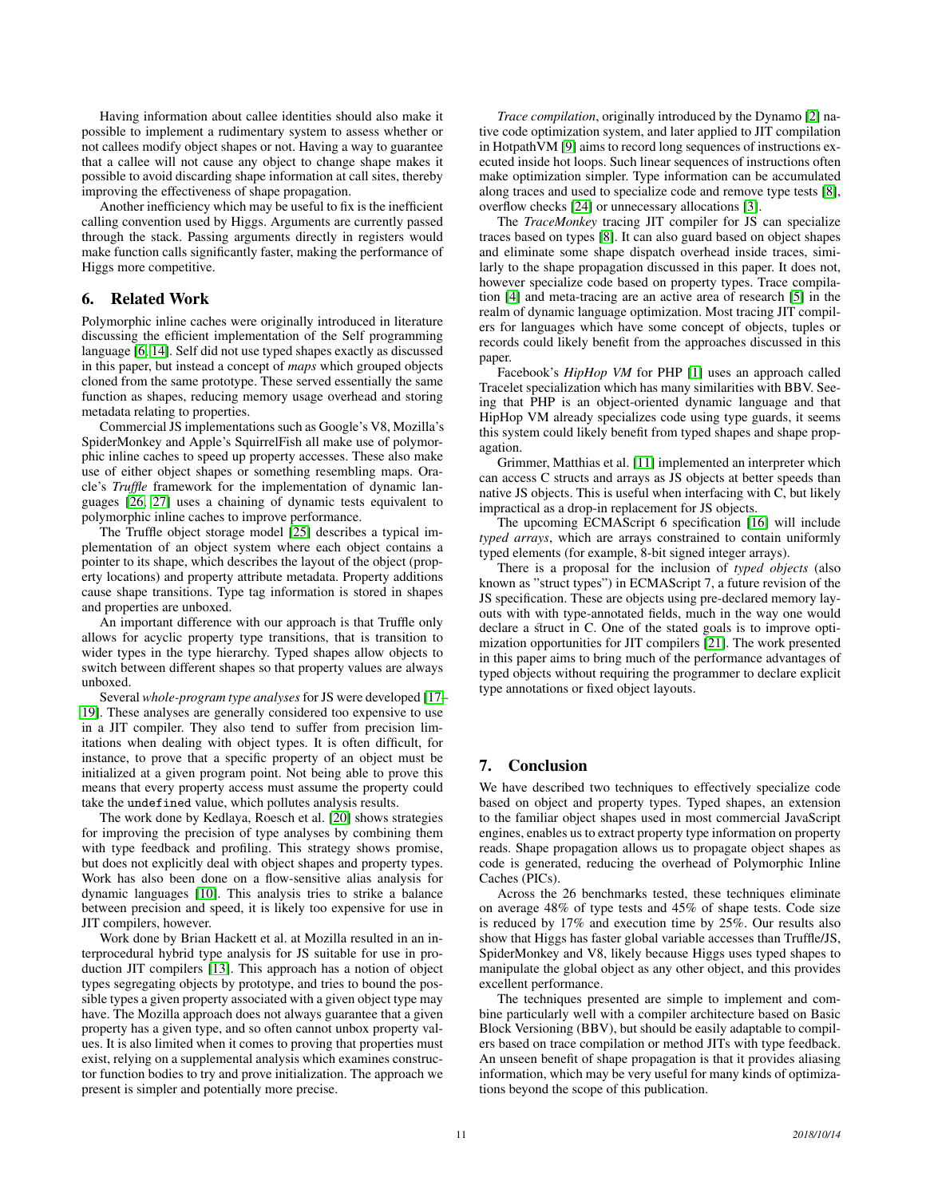Having information about callee identities should also make it possible to implement a rudimentary system to assess whether or not callees modify object shapes or not. Having a way to guarantee that a callee will not cause any object to change shape makes it possible to avoid discarding shape information at call sites, thereby improving the effectiveness of shape propagation.

Another inefficiency which may be useful to fix is the inefficient calling convention used by Higgs. Arguments are currently passed through the stack. Passing arguments directly in registers would make function calls significantly faster, making the performance of Higgs more competitive.

# 6. Related Work

Polymorphic inline caches were originally introduced in literature discussing the efficient implementation of the Self programming language [\[6,](#page-11-2) [14\]](#page-11-3). Self did not use typed shapes exactly as discussed in this paper, but instead a concept of *maps* which grouped objects cloned from the same prototype. These served essentially the same function as shapes, reducing memory usage overhead and storing metadata relating to properties.

Commercial JS implementations such as Google's V8, Mozilla's SpiderMonkey and Apple's SquirrelFish all make use of polymorphic inline caches to speed up property accesses. These also make use of either object shapes or something resembling maps. Oracle's *Truffle* framework for the implementation of dynamic languages [\[26,](#page-11-6) [27\]](#page-11-7) uses a chaining of dynamic tests equivalent to polymorphic inline caches to improve performance.

The Truffle object storage model [\[25\]](#page-11-9) describes a typical implementation of an object system where each object contains a pointer to its shape, which describes the layout of the object (property locations) and property attribute metadata. Property additions cause shape transitions. Type tag information is stored in shapes and properties are unboxed.

An important difference with our approach is that Truffle only allows for acyclic property type transitions, that is transition to wider types in the type hierarchy. Typed shapes allow objects to switch between different shapes so that property values are always unboxed.

Several *whole-program type analyses*for JS were developed [\[17–](#page-11-10) [19\]](#page-11-11). These analyses are generally considered too expensive to use in a JIT compiler. They also tend to suffer from precision limitations when dealing with object types. It is often difficult, for instance, to prove that a specific property of an object must be initialized at a given program point. Not being able to prove this means that every property access must assume the property could take the undefined value, which pollutes analysis results.

The work done by Kedlaya, Roesch et al. [\[20\]](#page-11-12) shows strategies for improving the precision of type analyses by combining them with type feedback and profiling. This strategy shows promise, but does not explicitly deal with object shapes and property types. Work has also been done on a flow-sensitive alias analysis for dynamic languages [\[10\]](#page-11-13). This analysis tries to strike a balance between precision and speed, it is likely too expensive for use in JIT compilers, however.

Work done by Brian Hackett et al. at Mozilla resulted in an interprocedural hybrid type analysis for JS suitable for use in production JIT compilers [\[13\]](#page-11-14). This approach has a notion of object types segregating objects by prototype, and tries to bound the possible types a given property associated with a given object type may have. The Mozilla approach does not always guarantee that a given property has a given type, and so often cannot unbox property values. It is also limited when it comes to proving that properties must exist, relying on a supplemental analysis which examines constructor function bodies to try and prove initialization. The approach we present is simpler and potentially more precise.

*Trace compilation*, originally introduced by the Dynamo [\[2\]](#page-11-15) native code optimization system, and later applied to JIT compilation in HotpathVM [\[9\]](#page-11-16) aims to record long sequences of instructions executed inside hot loops. Such linear sequences of instructions often make optimization simpler. Type information can be accumulated along traces and used to specialize code and remove type tests [\[8\]](#page-11-17), overflow checks [\[24\]](#page-11-18) or unnecessary allocations [\[3\]](#page-11-19).

The *TraceMonkey* tracing JIT compiler for JS can specialize traces based on types [\[8\]](#page-11-17). It can also guard based on object shapes and eliminate some shape dispatch overhead inside traces, similarly to the shape propagation discussed in this paper. It does not, however specialize code based on property types. Trace compilation [\[4\]](#page-11-20) and meta-tracing are an active area of research [\[5\]](#page-11-21) in the realm of dynamic language optimization. Most tracing JIT compilers for languages which have some concept of objects, tuples or records could likely benefit from the approaches discussed in this paper.

Facebook's *HipHop VM* for PHP [\[1\]](#page-11-22) uses an approach called Tracelet specialization which has many similarities with BBV. Seeing that PHP is an object-oriented dynamic language and that HipHop VM already specializes code using type guards, it seems this system could likely benefit from typed shapes and shape propagation.

Grimmer, Matthias et al. [\[11\]](#page-11-23) implemented an interpreter which can access C structs and arrays as JS objects at better speeds than native JS objects. This is useful when interfacing with C, but likely impractical as a drop-in replacement for JS objects.

The upcoming ECMAScript 6 specification [\[16\]](#page-11-24) will include *typed arrays*, which are arrays constrained to contain uniformly typed elements (for example, 8-bit signed integer arrays).

There is a proposal for the inclusion of *typed objects* (also known as "struct types") in ECMAScript 7, a future revision of the JS specification. These are objects using pre-declared memory layouts with with type-annotated fields, much in the way one would declare a struct in C. One of the stated goals is to improve optimization opportunities for JIT compilers [\[21\]](#page-11-25). The work presented in this paper aims to bring much of the performance advantages of typed objects without requiring the programmer to declare explicit type annotations or fixed object layouts.

# 7. Conclusion

We have described two techniques to effectively specialize code based on object and property types. Typed shapes, an extension to the familiar object shapes used in most commercial JavaScript engines, enables us to extract property type information on property reads. Shape propagation allows us to propagate object shapes as code is generated, reducing the overhead of Polymorphic Inline Caches (PICs).

Across the 26 benchmarks tested, these techniques eliminate on average 48% of type tests and 45% of shape tests. Code size is reduced by 17% and execution time by 25%. Our results also show that Higgs has faster global variable accesses than Truffle/JS, SpiderMonkey and V8, likely because Higgs uses typed shapes to manipulate the global object as any other object, and this provides excellent performance.

The techniques presented are simple to implement and combine particularly well with a compiler architecture based on Basic Block Versioning (BBV), but should be easily adaptable to compilers based on trace compilation or method JITs with type feedback. An unseen benefit of shape propagation is that it provides aliasing information, which may be very useful for many kinds of optimizations beyond the scope of this publication.